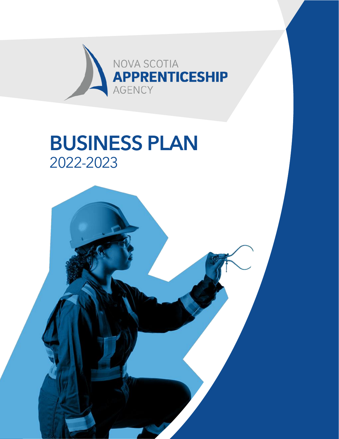

# BUSINESS PLAN 2022-2023

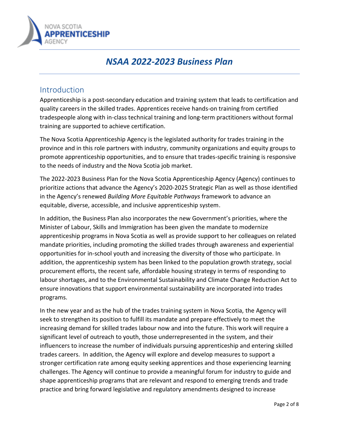

# *NSAA 2022-2023 Business Plan*

### Introduction

Apprenticeship is a post-secondary education and training system that leads to certification and quality careers in the skilled trades. Apprentices receive hands-on training from certified tradespeople along with in-class technical training and long-term practitioners without formal training are supported to achieve certification.

The Nova Scotia Apprenticeship Agency is the legislated authority for trades training in the province and in this role partners with industry, community organizations and equity groups to promote apprenticeship opportunities, and to ensure that trades-specific training is responsive to the needs of industry and the Nova Scotia job market.

The 2022-2023 Business Plan for the Nova Scotia Apprenticeship Agency (Agency) continues to prioritize actions that advance the Agency's 2020-2025 Strategic Plan as well as those identified in the Agency's renewed *Building More Equitable Pathways* framework to advance an equitable, diverse, accessible, and inclusive apprenticeship system.

In addition, the Business Plan also incorporates the new Government's priorities, where the Minister of Labour, Skills and Immigration has been given the mandate to modernize apprenticeship programs in Nova Scotia as well as provide support to her colleagues on related mandate priorities, including promoting the skilled trades through awareness and experiential opportunities for in-school youth and increasing the diversity of those who participate. In addition, the apprenticeship system has been linked to the population growth strategy, social procurement efforts, the recent safe, affordable housing strategy in terms of responding to labour shortages, and to the Environmental Sustainability and Climate Change Reduction Act to ensure innovations that support environmental sustainability are incorporated into trades programs.

In the new year and as the hub of the trades training system in Nova Scotia, the Agency will seek to strengthen its position to fulfill its mandate and prepare effectively to meet the increasing demand for skilled trades labour now and into the future. This work will require a significant level of outreach to youth, those underrepresented in the system, and their influencers to increase the number of individuals pursuing apprenticeship and entering skilled trades careers. In addition, the Agency will explore and develop measures to support a stronger certification rate among equity seeking apprentices and those experiencing learning challenges. The Agency will continue to provide a meaningful forum for industry to guide and shape apprenticeship programs that are relevant and respond to emerging trends and trade practice and bring forward legislative and regulatory amendments designed to increase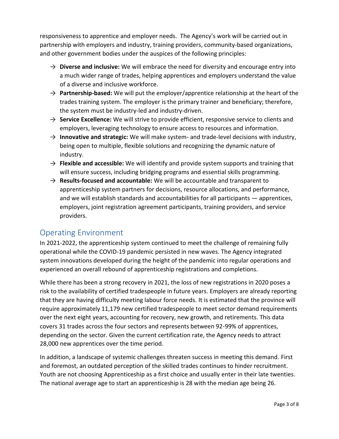responsiveness to apprentice and employer needs. The Agency's work will be carried out in partnership with employers and industry, training providers, community-based organizations, and other government bodies under the auspices of the following principles:

- → **Diverse and inclusive:** We will embrace the need for diversity and encourage entry into a much wider range of trades, helping apprentices and employers understand the value of a diverse and inclusive workforce.
- → **Partnership-based:** We will put the employer/apprentice relationship at the heart of the trades training system. The employer is the primary trainer and beneficiary; therefore, the system must be industry-led and industry-driven.
- → **Service Excellence:** We will strive to provide efficient, responsive service to clients and employers, leveraging technology to ensure access to resources and information.
- → **Innovative and strategic:** We will make system- and trade-level decisions with industry, being open to multiple, flexible solutions and recognizing the dynamic nature of industry.
- $\rightarrow$  **Flexible and accessible:** We will identify and provide system supports and training that will ensure success, including bridging programs and essential skills programming.
- → **Results-focused and accountable:** We will be accountable and transparent to apprenticeship system partners for decisions, resource allocations, and performance, and we will establish standards and accountabilities for all participants — apprentices, employers, joint registration agreement participants, training providers, and service providers.

## Operating Environment

In 2021-2022, the apprenticeship system continued to meet the challenge of remaining fully operational while the COVID-19 pandemic persisted in new waves. The Agency integrated system innovations developed during the height of the pandemic into regular operations and experienced an overall rebound of apprenticeship registrations and completions.

While there has been a strong recovery in 2021, the loss of new registrations in 2020 poses a risk to the availability of certified tradespeople in future years. Employers are already reporting that they are having difficulty meeting labour force needs. It is estimated that the province will require approximately 11,179 new certified tradespeople to meet sector demand requirements over the next eight years, accounting for recovery, new growth, and retirements. This data covers 31 trades across the four sectors and represents between 92-99% of apprentices, depending on the sector. Given the current certification rate, the Agency needs to attract 28,000 new apprentices over the time period.

In addition, a landscape of systemic challenges threaten success in meeting this demand. First and foremost, an outdated perception of the skilled trades continues to hinder recruitment. Youth are not choosing Apprenticeship as a first choice and usually enter in their late twenties. The national average age to start an apprenticeship is 28 with the median age being 26.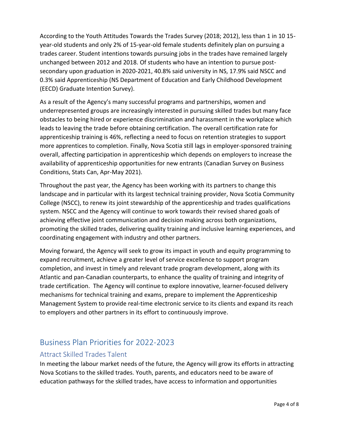According to the Youth Attitudes Towards the Trades Survey (2018; 2012), less than 1 in 10 15 year-old students and only 2% of 15-year-old female students definitely plan on pursuing a trades career. Student intentions towards pursuing jobs in the trades have remained largely unchanged between 2012 and 2018. Of students who have an intention to pursue postsecondary upon graduation in 2020-2021, 40.8% said university in NS, 17.9% said NSCC and 0.3% said Apprenticeship (NS Department of Education and Early Childhood Development (EECD) Graduate Intention Survey).

As a result of the Agency's many successful programs and partnerships, women and underrepresented groups are increasingly interested in pursuing skilled trades but many face obstacles to being hired or experience discrimination and harassment in the workplace which leads to leaving the trade before obtaining certification. The overall certification rate for apprenticeship training is 46%, reflecting a need to focus on retention strategies to support more apprentices to completion. Finally, Nova Scotia still lags in employer-sponsored training overall, affecting participation in apprenticeship which depends on employers to increase the availability of apprenticeship opportunities for new entrants (Canadian Survey on Business Conditions, Stats Can, Apr-May 2021).

Throughout the past year, the Agency has been working with its partners to change this landscape and in particular with its largest technical training provider, Nova Scotia Community College (NSCC), to renew its joint stewardship of the apprenticeship and trades qualifications system. NSCC and the Agency will continue to work towards their revised shared goals of achieving effective joint communication and decision making across both organizations, promoting the skilled trades, delivering quality training and inclusive learning experiences, and coordinating engagement with industry and other partners.

Moving forward, the Agency will seek to grow its impact in youth and equity programming to expand recruitment, achieve a greater level of service excellence to support program completion, and invest in timely and relevant trade program development, along with its Atlantic and pan-Canadian counterparts, to enhance the quality of training and integrity of trade certification. The Agency will continue to explore innovative, learner-focused delivery mechanisms for technical training and exams, prepare to implement the Apprenticeship Management System to provide real-time electronic service to its clients and expand its reach to employers and other partners in its effort to continuously improve.

# Business Plan Priorities for 2022-2023

#### Attract Skilled Trades Talent

In meeting the labour market needs of the future, the Agency will grow its efforts in attracting Nova Scotians to the skilled trades. Youth, parents, and educators need to be aware of education pathways for the skilled trades, have access to information and opportunities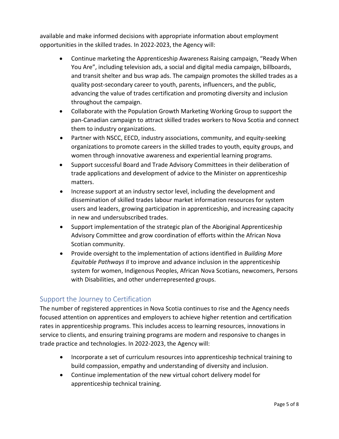available and make informed decisions with appropriate information about employment opportunities in the skilled trades. In 2022-2023, the Agency will:

- Continue marketing the Apprenticeship Awareness Raising campaign, "Ready When You Are", including television ads, a social and digital media campaign, billboards, and transit shelter and bus wrap ads. The campaign promotes the skilled trades as a quality post-secondary career to youth, parents, influencers, and the public, advancing the value of trades certification and promoting diversity and inclusion throughout the campaign.
- Collaborate with the Population Growth Marketing Working Group to support the pan-Canadian campaign to attract skilled trades workers to Nova Scotia and connect them to industry organizations.
- Partner with NSCC, EECD, industry associations, community, and equity-seeking organizations to promote careers in the skilled trades to youth, equity groups, and women through innovative awareness and experiential learning programs.
- Support successful Board and Trade Advisory Committees in their deliberation of trade applications and development of advice to the Minister on apprenticeship matters.
- Increase support at an industry sector level, including the development and dissemination of skilled trades labour market information resources for system users and leaders, growing participation in apprenticeship, and increasing capacity in new and undersubscribed trades.
- Support implementation of the strategic plan of the Aboriginal Apprenticeship Advisory Committee and grow coordination of efforts within the African Nova Scotian community.
- Provide oversight to the implementation of actions identified in *Building More Equitable Pathways II* to improve and advance inclusion in the apprenticeship system for women, Indigenous Peoples, African Nova Scotians, newcomers, Persons with Disabilities, and other underrepresented groups.

#### Support the Journey to Certification

The number of registered apprentices in Nova Scotia continues to rise and the Agency needs focused attention on apprentices and employers to achieve higher retention and certification rates in apprenticeship programs. This includes access to learning resources, innovations in service to clients, and ensuring training programs are modern and responsive to changes in trade practice and technologies. In 2022-2023, the Agency will:

- Incorporate a set of curriculum resources into apprenticeship technical training to build compassion, empathy and understanding of diversity and inclusion.
- Continue implementation of the new virtual cohort delivery model for apprenticeship technical training.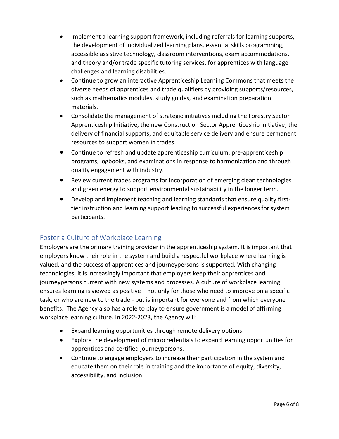- Implement a learning support framework, including referrals for learning supports, the development of individualized learning plans, essential skills programming, accessible assistive technology, classroom interventions, exam accommodations, and theory and/or trade specific tutoring services, for apprentices with language challenges and learning disabilities.
- Continue to grow an interactive Apprenticeship Learning Commons that meets the diverse needs of apprentices and trade qualifiers by providing supports/resources, such as mathematics modules, study guides, and examination preparation materials.
- Consolidate the management of strategic initiatives including the Forestry Sector Apprenticeship Initiative, the new Construction Sector Apprenticeship Initiative, the delivery of financial supports, and equitable service delivery and ensure permanent resources to support women in trades.
- Continue to refresh and update apprenticeship curriculum, pre-apprenticeship programs, logbooks, and examinations in response to harmonization and through quality engagement with industry.
- Review current trades programs for incorporation of emerging clean technologies and green energy to support environmental sustainability in the longer term.
- Develop and implement teaching and learning standards that ensure quality firsttier instruction and learning support leading to successful experiences for system participants.

#### Foster a Culture of Workplace Learning

Employers are the primary training provider in the apprenticeship system. It is important that employers know their role in the system and build a respectful workplace where learning is valued, and the success of apprentices and journeypersons is supported. With changing technologies, it is increasingly important that employers keep their apprentices and journeypersons current with new systems and processes. A culture of workplace learning ensures learning is viewed as positive – not only for those who need to improve on a specific task, or who are new to the trade - but is important for everyone and from which everyone benefits. The Agency also has a role to play to ensure government is a model of affirming workplace learning culture. In 2022-2023, the Agency will:

- Expand learning opportunities through remote delivery options.
- Explore the development of microcredentials to expand learning opportunities for apprentices and certified journeypersons.
- Continue to engage employers to increase their participation in the system and educate them on their role in training and the importance of equity, diversity, accessibility, and inclusion.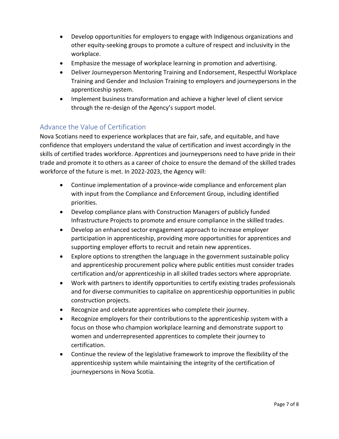- Develop opportunities for employers to engage with Indigenous organizations and other equity-seeking groups to promote a culture of respect and inclusivity in the workplace.
- Emphasize the message of workplace learning in promotion and advertising.
- Deliver Journeyperson Mentoring Training and Endorsement, Respectful Workplace Training and Gender and Inclusion Training to employers and journeypersons in the apprenticeship system.
- Implement business transformation and achieve a higher level of client service through the re-design of the Agency's support model.

#### Advance the Value of Certification

Nova Scotians need to experience workplaces that are fair, safe, and equitable, and have confidence that employers understand the value of certification and invest accordingly in the skills of certified trades workforce. Apprentices and journeypersons need to have pride in their trade and promote it to others as a career of choice to ensure the demand of the skilled trades workforce of the future is met. In 2022-2023, the Agency will:

- Continue implementation of a province-wide compliance and enforcement plan with input from the Compliance and Enforcement Group, including identified priorities.
- Develop compliance plans with Construction Managers of publicly funded Infrastructure Projects to promote and ensure compliance in the skilled trades.
- Develop an enhanced sector engagement approach to increase employer participation in apprenticeship, providing more opportunities for apprentices and supporting employer efforts to recruit and retain new apprentices.
- Explore options to strengthen the language in the government sustainable policy and apprenticeship procurement policy where public entities must consider trades certification and/or apprenticeship in all skilled trades sectors where appropriate.
- Work with partners to identify opportunities to certify existing trades professionals and for diverse communities to capitalize on apprenticeship opportunities in public construction projects.
- Recognize and celebrate apprentices who complete their journey.
- Recognize employers for their contributions to the apprenticeship system with a focus on those who champion workplace learning and demonstrate support to women and underrepresented apprentices to complete their journey to certification.
- Continue the review of the legislative framework to improve the flexibility of the apprenticeship system while maintaining the integrity of the certification of journeypersons in Nova Scotia.